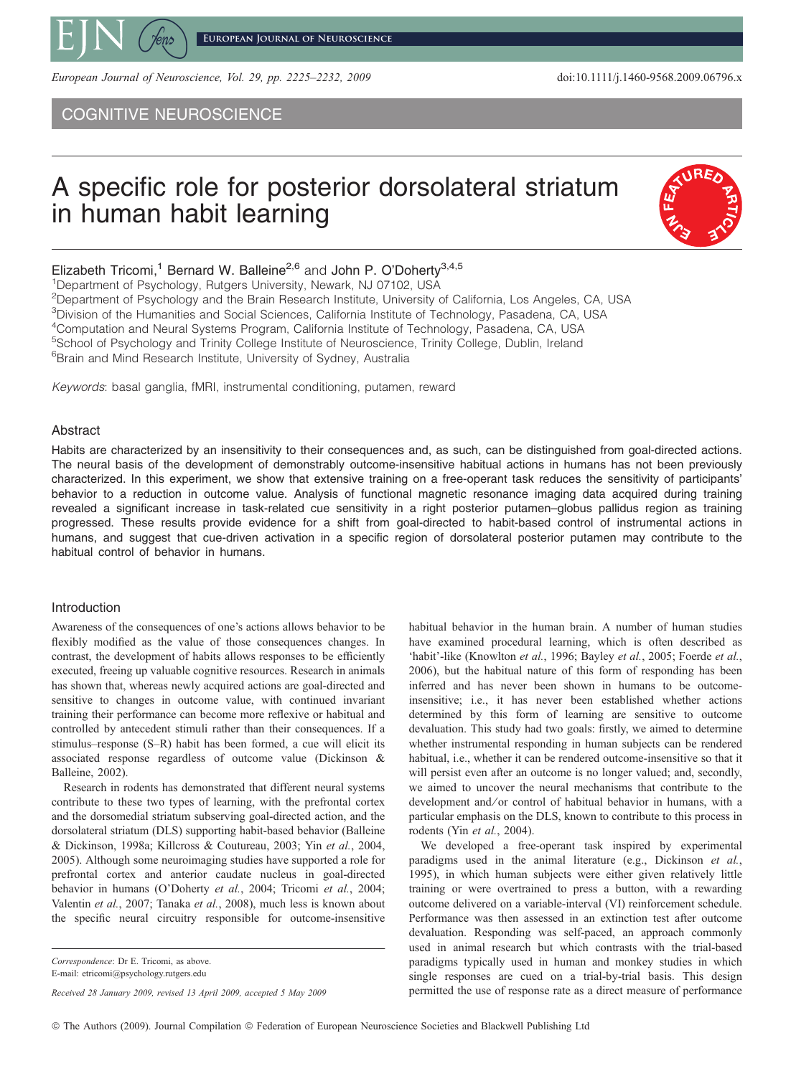

**European Journal of Neuroscience**

European Journal of Neuroscience, Vol. 29, pp. 2225–2232, 2009 doi:10.1111/j.1460-9568.2009.06796.x

# COGNITIVE NEUROSCIENCE

# A specific role for posterior dorsolateral striatum in human habit learning



Elizabeth Tricomi,<sup>1</sup> Bernard W. Balleine<sup>2,6</sup> and John P. O'Doherty<sup>3,4,5</sup>

<sup>1</sup>Department of Psychology, Rutgers University, Newark, NJ 07102, USA

<sup>2</sup>Department of Psychology and the Brain Research Institute, University of California, Los Angeles, CA, USA

<sup>3</sup>Division of the Humanities and Social Sciences, California Institute of Technology, Pasadena, CA, USA

<sup>4</sup>Computation and Neural Systems Program, California Institute of Technology, Pasadena, CA, USA

<sup>5</sup>School of Psychology and Trinity College Institute of Neuroscience, Trinity College, Dublin, Ireland

6 Brain and Mind Research Institute, University of Sydney, Australia

Keywords: basal ganglia, fMRI, instrumental conditioning, putamen, reward

# Abstract

Habits are characterized by an insensitivity to their consequences and, as such, can be distinguished from goal-directed actions. The neural basis of the development of demonstrably outcome-insensitive habitual actions in humans has not been previously characterized. In this experiment, we show that extensive training on a free-operant task reduces the sensitivity of participants' behavior to a reduction in outcome value. Analysis of functional magnetic resonance imaging data acquired during training revealed a significant increase in task-related cue sensitivity in a right posterior putamen–globus pallidus region as training progressed. These results provide evidence for a shift from goal-directed to habit-based control of instrumental actions in humans, and suggest that cue-driven activation in a specific region of dorsolateral posterior putamen may contribute to the habitual control of behavior in humans.

## Introduction

Awareness of the consequences of one's actions allows behavior to be flexibly modified as the value of those consequences changes. In contrast, the development of habits allows responses to be efficiently executed, freeing up valuable cognitive resources. Research in animals has shown that, whereas newly acquired actions are goal-directed and sensitive to changes in outcome value, with continued invariant training their performance can become more reflexive or habitual and controlled by antecedent stimuli rather than their consequences. If a stimulus–response (S–R) habit has been formed, a cue will elicit its associated response regardless of outcome value (Dickinson & Balleine, 2002).

Research in rodents has demonstrated that different neural systems contribute to these two types of learning, with the prefrontal cortex and the dorsomedial striatum subserving goal-directed action, and the dorsolateral striatum (DLS) supporting habit-based behavior (Balleine & Dickinson, 1998a; Killcross & Coutureau, 2003; Yin et al., 2004, 2005). Although some neuroimaging studies have supported a role for prefrontal cortex and anterior caudate nucleus in goal-directed behavior in humans (O'Doherty et al., 2004; Tricomi et al., 2004; Valentin et al., 2007; Tanaka et al., 2008), much less is known about the specific neural circuitry responsible for outcome-insensitive

Correspondence: Dr E. Tricomi, as above. E-mail: etricomi@psychology.rutgers.edu

Received 28 January 2009, revised 13 April 2009, accepted 5 May 2009

habitual behavior in the human brain. A number of human studies have examined procedural learning, which is often described as 'habit'-like (Knowlton et al., 1996; Bayley et al., 2005; Foerde et al., 2006), but the habitual nature of this form of responding has been inferred and has never been shown in humans to be outcomeinsensitive; i.e., it has never been established whether actions determined by this form of learning are sensitive to outcome devaluation. This study had two goals: firstly, we aimed to determine whether instrumental responding in human subjects can be rendered habitual, i.e., whether it can be rendered outcome-insensitive so that it will persist even after an outcome is no longer valued; and, secondly, we aimed to uncover the neural mechanisms that contribute to the development and/or control of habitual behavior in humans, with a particular emphasis on the DLS, known to contribute to this process in rodents (Yin et al., 2004).

We developed a free-operant task inspired by experimental paradigms used in the animal literature (e.g., Dickinson et al., 1995), in which human subjects were either given relatively little training or were overtrained to press a button, with a rewarding outcome delivered on a variable-interval (VI) reinforcement schedule. Performance was then assessed in an extinction test after outcome devaluation. Responding was self-paced, an approach commonly used in animal research but which contrasts with the trial-based paradigms typically used in human and monkey studies in which single responses are cued on a trial-by-trial basis. This design permitted the use of response rate as a direct measure of performance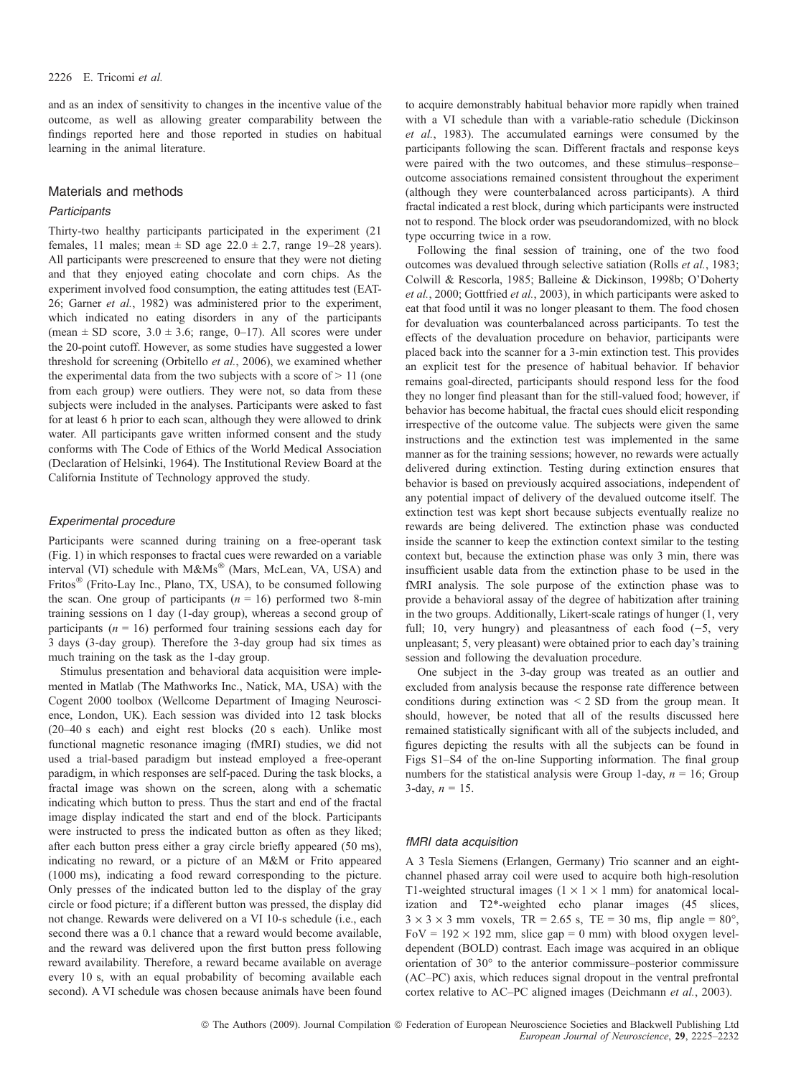and as an index of sensitivity to changes in the incentive value of the outcome, as well as allowing greater comparability between the findings reported here and those reported in studies on habitual learning in the animal literature.

# Materials and methods

#### **Participants**

Thirty-two healthy participants participated in the experiment (21 females, 11 males; mean  $\pm$  SD age 22.0  $\pm$  2.7, range 19–28 years). All participants were prescreened to ensure that they were not dieting and that they enjoyed eating chocolate and corn chips. As the experiment involved food consumption, the eating attitudes test (EAT-26; Garner et al., 1982) was administered prior to the experiment, which indicated no eating disorders in any of the participants (mean  $\pm$  SD score, 3.0  $\pm$  3.6; range, 0–17). All scores were under the 20-point cutoff. However, as some studies have suggested a lower threshold for screening (Orbitello et al., 2006), we examined whether the experimental data from the two subjects with a score of  $> 11$  (one from each group) were outliers. They were not, so data from these subjects were included in the analyses. Participants were asked to fast for at least 6 h prior to each scan, although they were allowed to drink water. All participants gave written informed consent and the study conforms with The Code of Ethics of the World Medical Association (Declaration of Helsinki, 1964). The Institutional Review Board at the California Institute of Technology approved the study.

# Experimental procedure

Participants were scanned during training on a free-operant task (Fig. 1) in which responses to fractal cues were rewarded on a variable interval (VI) schedule with M&Ms® (Mars, McLean, VA, USA) and Fritos<sup>®</sup> (Frito-Lay Inc., Plano, TX, USA), to be consumed following the scan. One group of participants  $(n = 16)$  performed two 8-min training sessions on 1 day (1-day group), whereas a second group of participants ( $n = 16$ ) performed four training sessions each day for 3 days (3-day group). Therefore the 3-day group had six times as much training on the task as the 1-day group.

Stimulus presentation and behavioral data acquisition were implemented in Matlab (The Mathworks Inc., Natick, MA, USA) with the Cogent 2000 toolbox (Wellcome Department of Imaging Neuroscience, London, UK). Each session was divided into 12 task blocks (20–40 s each) and eight rest blocks (20 s each). Unlike most functional magnetic resonance imaging (fMRI) studies, we did not used a trial-based paradigm but instead employed a free-operant paradigm, in which responses are self-paced. During the task blocks, a fractal image was shown on the screen, along with a schematic indicating which button to press. Thus the start and end of the fractal image display indicated the start and end of the block. Participants were instructed to press the indicated button as often as they liked; after each button press either a gray circle briefly appeared (50 ms), indicating no reward, or a picture of an M&M or Frito appeared (1000 ms), indicating a food reward corresponding to the picture. Only presses of the indicated button led to the display of the gray circle or food picture; if a different button was pressed, the display did not change. Rewards were delivered on a VI 10-s schedule (i.e., each second there was a 0.1 chance that a reward would become available, and the reward was delivered upon the first button press following reward availability. Therefore, a reward became available on average every 10 s, with an equal probability of becoming available each second). A VI schedule was chosen because animals have been found to acquire demonstrably habitual behavior more rapidly when trained with a VI schedule than with a variable-ratio schedule (Dickinson et al., 1983). The accumulated earnings were consumed by the participants following the scan. Different fractals and response keys were paired with the two outcomes, and these stimulus–response– outcome associations remained consistent throughout the experiment (although they were counterbalanced across participants). A third fractal indicated a rest block, during which participants were instructed not to respond. The block order was pseudorandomized, with no block type occurring twice in a row.

Following the final session of training, one of the two food outcomes was devalued through selective satiation (Rolls et al., 1983; Colwill & Rescorla, 1985; Balleine & Dickinson, 1998b; O'Doherty et al., 2000; Gottfried et al., 2003), in which participants were asked to eat that food until it was no longer pleasant to them. The food chosen for devaluation was counterbalanced across participants. To test the effects of the devaluation procedure on behavior, participants were placed back into the scanner for a 3-min extinction test. This provides an explicit test for the presence of habitual behavior. If behavior remains goal-directed, participants should respond less for the food they no longer find pleasant than for the still-valued food; however, if behavior has become habitual, the fractal cues should elicit responding irrespective of the outcome value. The subjects were given the same instructions and the extinction test was implemented in the same manner as for the training sessions; however, no rewards were actually delivered during extinction. Testing during extinction ensures that behavior is based on previously acquired associations, independent of any potential impact of delivery of the devalued outcome itself. The extinction test was kept short because subjects eventually realize no rewards are being delivered. The extinction phase was conducted inside the scanner to keep the extinction context similar to the testing context but, because the extinction phase was only 3 min, there was insufficient usable data from the extinction phase to be used in the fMRI analysis. The sole purpose of the extinction phase was to provide a behavioral assay of the degree of habitization after training in the two groups. Additionally, Likert-scale ratings of hunger (1, very full; 10, very hungry) and pleasantness of each food  $(-5, \text{very})$ unpleasant; 5, very pleasant) were obtained prior to each day's training session and following the devaluation procedure.

One subject in the 3-day group was treated as an outlier and excluded from analysis because the response rate difference between conditions during extinction was < 2 SD from the group mean. It should, however, be noted that all of the results discussed here remained statistically significant with all of the subjects included, and figures depicting the results with all the subjects can be found in Figs S1–S4 of the on-line Supporting information. The final group numbers for the statistical analysis were Group 1-day,  $n = 16$ ; Group 3-day,  $n = 15$ .

#### fMRI data acquisition

A 3 Tesla Siemens (Erlangen, Germany) Trio scanner and an eightchannel phased array coil were used to acquire both high-resolution T1-weighted structural images  $(1 \times 1 \times 1$  mm) for anatomical localization and T2\*-weighted echo planar images (45 slices,  $3 \times 3 \times 3$  mm voxels, TR = 2.65 s, TE = 30 ms, flip angle = 80°, FoV =  $192 \times 192$  mm, slice gap = 0 mm) with blood oxygen leveldependent (BOLD) contrast. Each image was acquired in an oblique orientation of 30° to the anterior commissure–posterior commissure (AC–PC) axis, which reduces signal dropout in the ventral prefrontal cortex relative to AC–PC aligned images (Deichmann et al., 2003).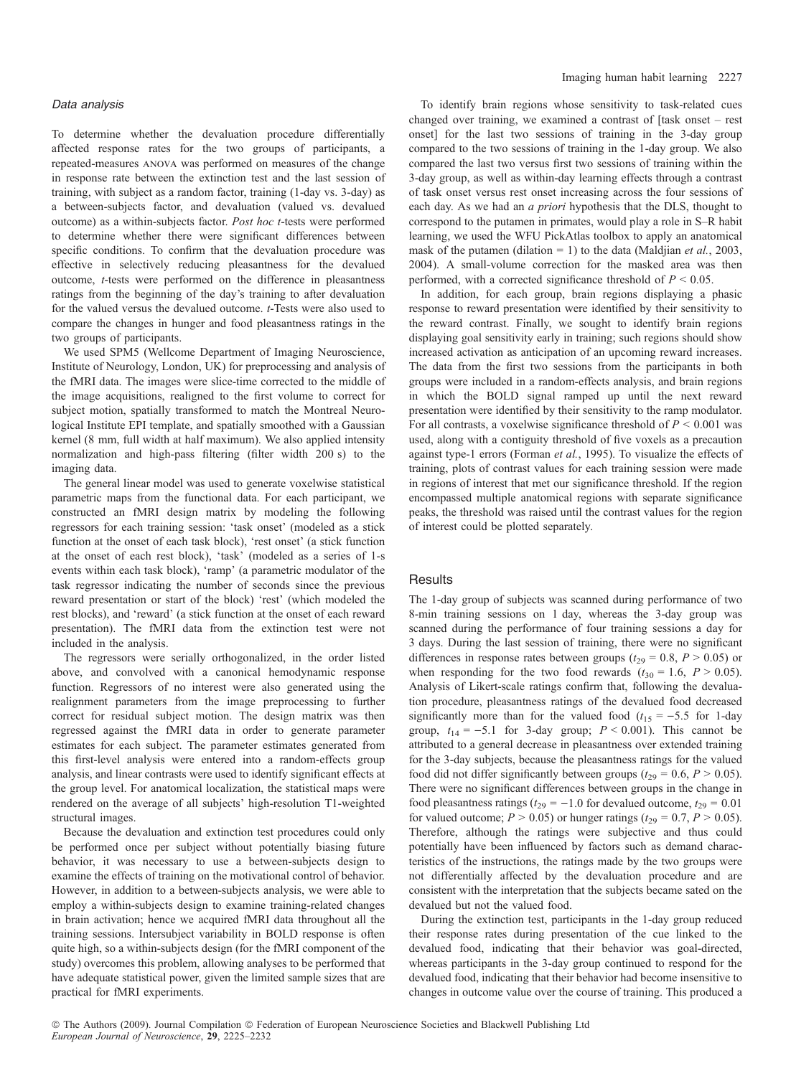#### Data analysis

To determine whether the devaluation procedure differentially affected response rates for the two groups of participants, a repeated-measures anova was performed on measures of the change in response rate between the extinction test and the last session of training, with subject as a random factor, training (1-day vs. 3-day) as a between-subjects factor, and devaluation (valued vs. devalued outcome) as a within-subjects factor. Post hoc t-tests were performed to determine whether there were significant differences between specific conditions. To confirm that the devaluation procedure was effective in selectively reducing pleasantness for the devalued outcome, t-tests were performed on the difference in pleasantness ratings from the beginning of the day's training to after devaluation for the valued versus the devalued outcome. t-Tests were also used to compare the changes in hunger and food pleasantness ratings in the two groups of participants.

We used SPM5 (Wellcome Department of Imaging Neuroscience, Institute of Neurology, London, UK) for preprocessing and analysis of the fMRI data. The images were slice-time corrected to the middle of the image acquisitions, realigned to the first volume to correct for subject motion, spatially transformed to match the Montreal Neurological Institute EPI template, and spatially smoothed with a Gaussian kernel (8 mm, full width at half maximum). We also applied intensity normalization and high-pass filtering (filter width 200 s) to the imaging data.

The general linear model was used to generate voxelwise statistical parametric maps from the functional data. For each participant, we constructed an fMRI design matrix by modeling the following regressors for each training session: 'task onset' (modeled as a stick function at the onset of each task block), 'rest onset' (a stick function at the onset of each rest block), 'task' (modeled as a series of 1-s events within each task block), 'ramp' (a parametric modulator of the task regressor indicating the number of seconds since the previous reward presentation or start of the block) 'rest' (which modeled the rest blocks), and 'reward' (a stick function at the onset of each reward presentation). The fMRI data from the extinction test were not included in the analysis.

The regressors were serially orthogonalized, in the order listed above, and convolved with a canonical hemodynamic response function. Regressors of no interest were also generated using the realignment parameters from the image preprocessing to further correct for residual subject motion. The design matrix was then regressed against the fMRI data in order to generate parameter estimates for each subject. The parameter estimates generated from this first-level analysis were entered into a random-effects group analysis, and linear contrasts were used to identify significant effects at the group level. For anatomical localization, the statistical maps were rendered on the average of all subjects' high-resolution T1-weighted structural images.

Because the devaluation and extinction test procedures could only be performed once per subject without potentially biasing future behavior, it was necessary to use a between-subjects design to examine the effects of training on the motivational control of behavior. However, in addition to a between-subjects analysis, we were able to employ a within-subjects design to examine training-related changes in brain activation; hence we acquired fMRI data throughout all the training sessions. Intersubject variability in BOLD response is often quite high, so a within-subjects design (for the fMRI component of the study) overcomes this problem, allowing analyses to be performed that have adequate statistical power, given the limited sample sizes that are practical for fMRI experiments.

To identify brain regions whose sensitivity to task-related cues changed over training, we examined a contrast of [task onset – rest onset] for the last two sessions of training in the 3-day group compared to the two sessions of training in the 1-day group. We also compared the last two versus first two sessions of training within the 3-day group, as well as within-day learning effects through a contrast of task onset versus rest onset increasing across the four sessions of each day. As we had an a priori hypothesis that the DLS, thought to correspond to the putamen in primates, would play a role in S–R habit learning, we used the WFU PickAtlas toolbox to apply an anatomical mask of the putamen (dilation = 1) to the data (Maldjian *et al.*, 2003, 2004). A small-volume correction for the masked area was then performed, with a corrected significance threshold of  $P \le 0.05$ .

In addition, for each group, brain regions displaying a phasic response to reward presentation were identified by their sensitivity to the reward contrast. Finally, we sought to identify brain regions displaying goal sensitivity early in training; such regions should show increased activation as anticipation of an upcoming reward increases. The data from the first two sessions from the participants in both groups were included in a random-effects analysis, and brain regions in which the BOLD signal ramped up until the next reward presentation were identified by their sensitivity to the ramp modulator. For all contrasts, a voxelwise significance threshold of  $P \leq 0.001$  was used, along with a contiguity threshold of five voxels as a precaution against type-1 errors (Forman et al., 1995). To visualize the effects of training, plots of contrast values for each training session were made in regions of interest that met our significance threshold. If the region encompassed multiple anatomical regions with separate significance peaks, the threshold was raised until the contrast values for the region of interest could be plotted separately.

#### **Results**

The 1-day group of subjects was scanned during performance of two 8-min training sessions on 1 day, whereas the 3-day group was scanned during the performance of four training sessions a day for 3 days. During the last session of training, there were no significant differences in response rates between groups ( $t_{29} = 0.8$ ,  $P > 0.05$ ) or when responding for the two food rewards  $(t_{30} = 1.6, P > 0.05)$ . Analysis of Likert-scale ratings confirm that, following the devaluation procedure, pleasantness ratings of the devalued food decreased significantly more than for the valued food  $(t_{15} = -5.5$  for 1-day group,  $t_{14} = -5.1$  for 3-day group;  $P < 0.001$ ). This cannot be attributed to a general decrease in pleasantness over extended training for the 3-day subjects, because the pleasantness ratings for the valued food did not differ significantly between groups ( $t_{29} = 0.6$ ,  $P > 0.05$ ). There were no significant differences between groups in the change in food pleasantness ratings ( $t_{29} = -1.0$  for devalued outcome,  $t_{29} = 0.01$ for valued outcome;  $P > 0.05$ ) or hunger ratings ( $t_{29} = 0.7$ ,  $P > 0.05$ ). Therefore, although the ratings were subjective and thus could potentially have been influenced by factors such as demand characteristics of the instructions, the ratings made by the two groups were not differentially affected by the devaluation procedure and are consistent with the interpretation that the subjects became sated on the devalued but not the valued food.

During the extinction test, participants in the 1-day group reduced their response rates during presentation of the cue linked to the devalued food, indicating that their behavior was goal-directed, whereas participants in the 3-day group continued to respond for the devalued food, indicating that their behavior had become insensitive to changes in outcome value over the course of training. This produced a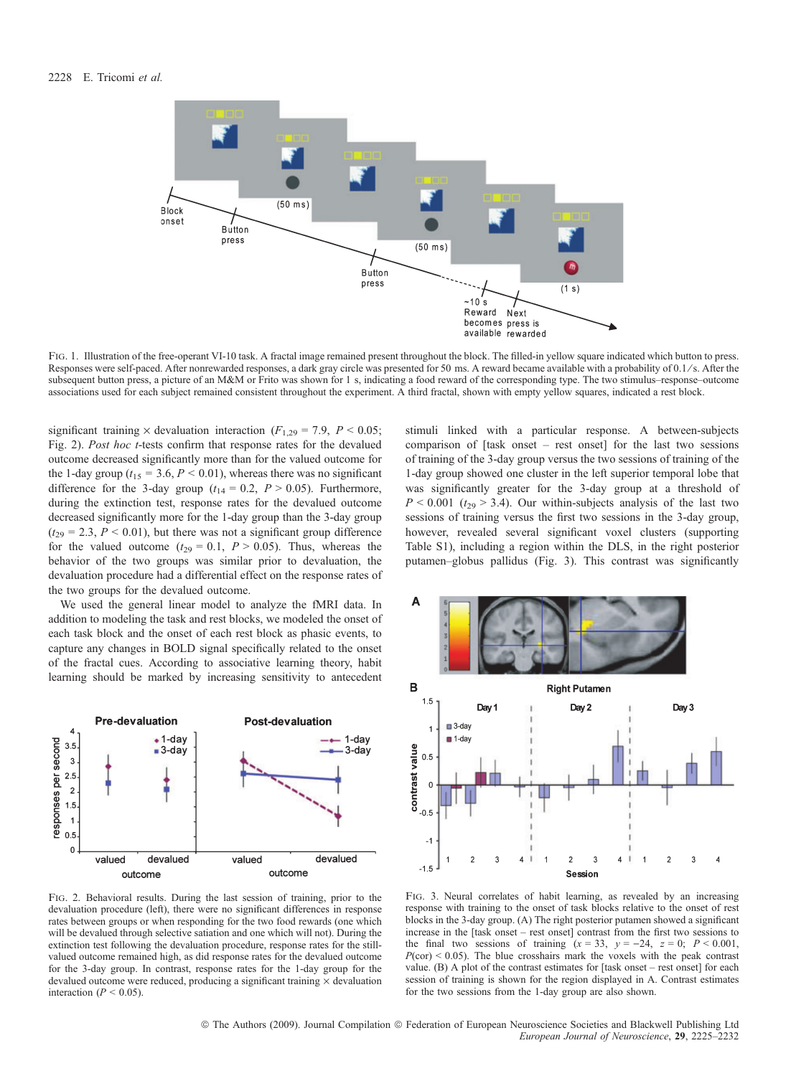

Fig. 1. Illustration of the free-operant VI-10 task. A fractal image remained present throughout the block. The filled-in yellow square indicated which button to press. Responses were self-paced. After nonrewarded responses, a dark gray circle was presented for 50 ms. A reward became available with a probability of 0.1/s. After the subsequent button press, a picture of an M&M or Frito was shown for 1 s, indicating a food reward of the corresponding type. The two stimulus–response–outcome associations used for each subject remained consistent throughout the experiment. A third fractal, shown with empty yellow squares, indicated a rest block.

significant training  $\times$  devaluation interaction ( $F_{1,29} = 7.9$ ,  $P \le 0.05$ ; Fig. 2). Post hoc t-tests confirm that response rates for the devalued outcome decreased significantly more than for the valued outcome for the 1-day group ( $t_{15} = 3.6, P \le 0.01$ ), whereas there was no significant difference for the 3-day group ( $t_{14} = 0.2$ ,  $P > 0.05$ ). Furthermore, during the extinction test, response rates for the devalued outcome decreased significantly more for the 1-day group than the 3-day group  $(t_{29} = 2.3, P \le 0.01)$ , but there was not a significant group difference for the valued outcome  $(t_{29} = 0.1, P > 0.05)$ . Thus, whereas the behavior of the two groups was similar prior to devaluation, the devaluation procedure had a differential effect on the response rates of the two groups for the devalued outcome.

We used the general linear model to analyze the fMRI data. In addition to modeling the task and rest blocks, we modeled the onset of each task block and the onset of each rest block as phasic events, to capture any changes in BOLD signal specifically related to the onset of the fractal cues. According to associative learning theory, habit learning should be marked by increasing sensitivity to antecedent



Fig. 2. Behavioral results. During the last session of training, prior to the devaluation procedure (left), there were no significant differences in response rates between groups or when responding for the two food rewards (one which will be devalued through selective satiation and one which will not). During the extinction test following the devaluation procedure, response rates for the stillvalued outcome remained high, as did response rates for the devalued outcome for the 3-day group. In contrast, response rates for the 1-day group for the devalued outcome were reduced, producing a significant training  $\times$  devaluation interaction ( $P < 0.05$ ).

stimuli linked with a particular response. A between-subjects comparison of [task onset – rest onset] for the last two sessions of training of the 3-day group versus the two sessions of training of the 1-day group showed one cluster in the left superior temporal lobe that was significantly greater for the 3-day group at a threshold of  $P < 0.001$  ( $t_{29} > 3.4$ ). Our within-subjects analysis of the last two sessions of training versus the first two sessions in the 3-day group, however, revealed several significant voxel clusters (supporting Table S1), including a region within the DLS, in the right posterior putamen–globus pallidus (Fig. 3). This contrast was significantly



Fig. 3. Neural correlates of habit learning, as revealed by an increasing response with training to the onset of task blocks relative to the onset of rest blocks in the 3-day group. (A) The right posterior putamen showed a significant increase in the [task onset – rest onset] contrast from the first two sessions to the final two sessions of training  $(x = 33, y = -24, z = 0; P < 0.001,$  $P(cor) < 0.05$ ). The blue crosshairs mark the voxels with the peak contrast value. (B) A plot of the contrast estimates for [task onset – rest onset] for each session of training is shown for the region displayed in A. Contrast estimates for the two sessions from the 1-day group are also shown.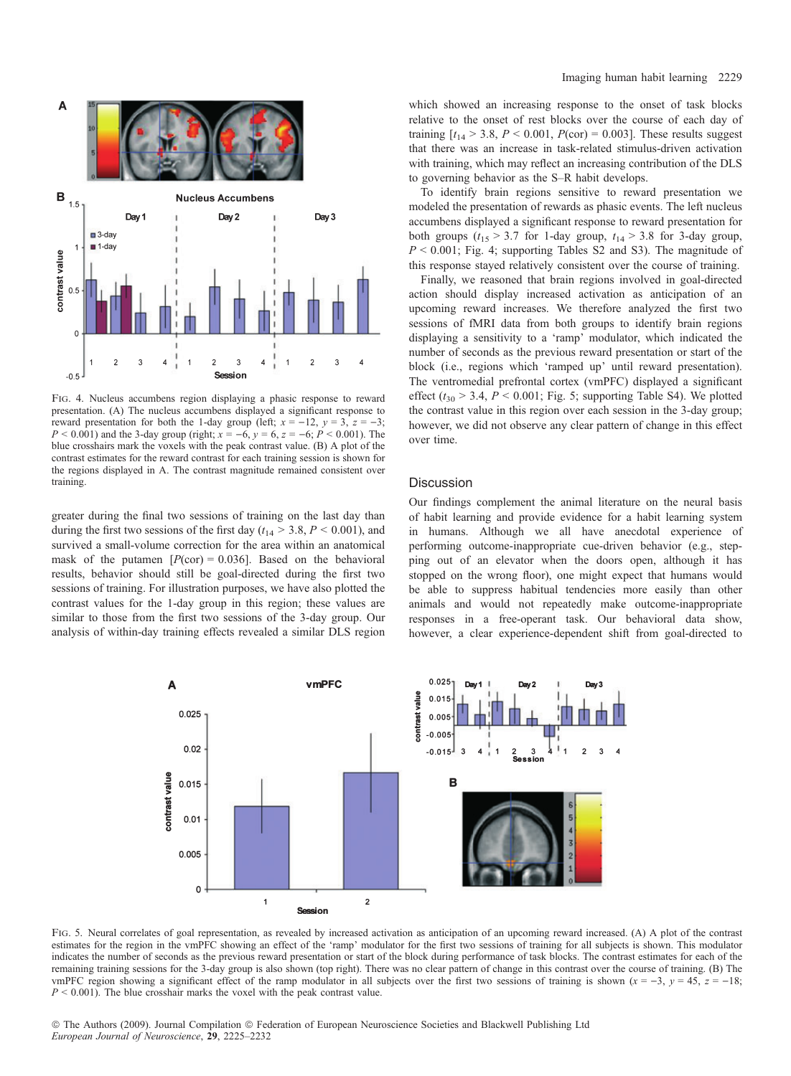

Fig. 4. Nucleus accumbens region displaying a phasic response to reward presentation. (A) The nucleus accumbens displayed a significant response to reward presentation for both the 1-day group (left;  $x = -12$ ,  $y = 3$ ,  $z = -3$ ;  $P < 0.001$ ) and the 3-day group (right;  $x = -6$ ,  $y = 6$ ,  $z = -6$ ;  $P < 0.001$ ). The blue crosshairs mark the voxels with the peak contrast value. (B) A plot of the contrast estimates for the reward contrast for each training session is shown for the regions displayed in A. The contrast magnitude remained consistent over training.

greater during the final two sessions of training on the last day than during the first two sessions of the first day ( $t_{14} > 3.8$ ,  $P < 0.001$ ), and survived a small-volume correction for the area within an anatomical mask of the putamen  $[P(cor) = 0.036]$ . Based on the behavioral results, behavior should still be goal-directed during the first two sessions of training. For illustration purposes, we have also plotted the contrast values for the 1-day group in this region; these values are similar to those from the first two sessions of the 3-day group. Our analysis of within-day training effects revealed a similar DLS region

which showed an increasing response to the onset of task blocks relative to the onset of rest blocks over the course of each day of training  $[t_{14} > 3.8, P < 0.001, P(cor) = 0.003]$ . These results suggest that there was an increase in task-related stimulus-driven activation with training, which may reflect an increasing contribution of the DLS to governing behavior as the S–R habit develops.

To identify brain regions sensitive to reward presentation we modeled the presentation of rewards as phasic events. The left nucleus accumbens displayed a significant response to reward presentation for both groups  $(t_{15} > 3.7$  for 1-day group,  $t_{14} > 3.8$  for 3-day group,  $P \le 0.001$ ; Fig. 4; supporting Tables S2 and S3). The magnitude of this response stayed relatively consistent over the course of training.

Finally, we reasoned that brain regions involved in goal-directed action should display increased activation as anticipation of an upcoming reward increases. We therefore analyzed the first two sessions of fMRI data from both groups to identify brain regions displaying a sensitivity to a 'ramp' modulator, which indicated the number of seconds as the previous reward presentation or start of the block (i.e., regions which 'ramped up' until reward presentation). The ventromedial prefrontal cortex (vmPFC) displayed a significant effect  $(t_{30} > 3.4, P < 0.001$ ; Fig. 5; supporting Table S4). We plotted the contrast value in this region over each session in the 3-day group; however, we did not observe any clear pattern of change in this effect over time.

#### Discussion

Our findings complement the animal literature on the neural basis of habit learning and provide evidence for a habit learning system in humans. Although we all have anecdotal experience of performing outcome-inappropriate cue-driven behavior (e.g., stepping out of an elevator when the doors open, although it has stopped on the wrong floor), one might expect that humans would be able to suppress habitual tendencies more easily than other animals and would not repeatedly make outcome-inappropriate responses in a free-operant task. Our behavioral data show, however, a clear experience-dependent shift from goal-directed to



FIG. 5. Neural correlates of goal representation, as revealed by increased activation as anticipation of an upcoming reward increased. (A) A plot of the contrast estimates for the region in the vmPFC showing an effect of the 'ramp' modulator for the first two sessions of training for all subjects is shown. This modulator indicates the number of seconds as the previous reward presentation or start of the block during performance of task blocks. The contrast estimates for each of the remaining training sessions for the 3-day group is also shown (top right). There was no clear pattern of change in this contrast over the course of training. (B) The vmPFC region showing a significant effect of the ramp modulator in all subjects over the first two sessions of training is shown ( $x = -3$ ,  $y = 45$ ,  $z = -18$ ;  $P < 0.001$ ). The blue crosshair marks the voxel with the peak contrast value.

© The Authors (2009). Journal Compilation © Federation of European Neuroscience Societies and Blackwell Publishing Ltd European Journal of Neuroscience, 29, 2225–2232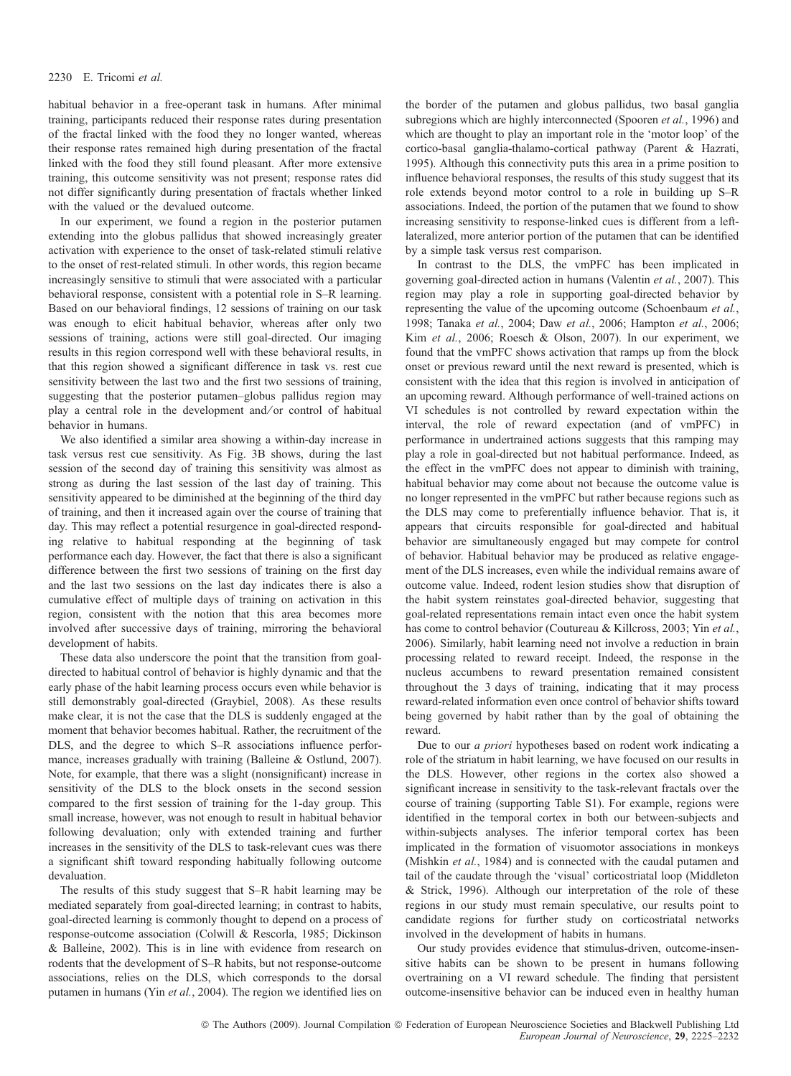habitual behavior in a free-operant task in humans. After minimal training, participants reduced their response rates during presentation of the fractal linked with the food they no longer wanted, whereas their response rates remained high during presentation of the fractal linked with the food they still found pleasant. After more extensive training, this outcome sensitivity was not present; response rates did not differ significantly during presentation of fractals whether linked with the valued or the devalued outcome.

In our experiment, we found a region in the posterior putamen extending into the globus pallidus that showed increasingly greater activation with experience to the onset of task-related stimuli relative to the onset of rest-related stimuli. In other words, this region became increasingly sensitive to stimuli that were associated with a particular behavioral response, consistent with a potential role in S–R learning. Based on our behavioral findings, 12 sessions of training on our task was enough to elicit habitual behavior, whereas after only two sessions of training, actions were still goal-directed. Our imaging results in this region correspond well with these behavioral results, in that this region showed a significant difference in task vs. rest cue sensitivity between the last two and the first two sessions of training, suggesting that the posterior putamen–globus pallidus region may play a central role in the development and ⁄ or control of habitual behavior in humans.

We also identified a similar area showing a within-day increase in task versus rest cue sensitivity. As Fig. 3B shows, during the last session of the second day of training this sensitivity was almost as strong as during the last session of the last day of training. This sensitivity appeared to be diminished at the beginning of the third day of training, and then it increased again over the course of training that day. This may reflect a potential resurgence in goal-directed responding relative to habitual responding at the beginning of task performance each day. However, the fact that there is also a significant difference between the first two sessions of training on the first day and the last two sessions on the last day indicates there is also a cumulative effect of multiple days of training on activation in this region, consistent with the notion that this area becomes more involved after successive days of training, mirroring the behavioral development of habits.

These data also underscore the point that the transition from goaldirected to habitual control of behavior is highly dynamic and that the early phase of the habit learning process occurs even while behavior is still demonstrably goal-directed (Graybiel, 2008). As these results make clear, it is not the case that the DLS is suddenly engaged at the moment that behavior becomes habitual. Rather, the recruitment of the DLS, and the degree to which S–R associations influence performance, increases gradually with training (Balleine & Ostlund, 2007). Note, for example, that there was a slight (nonsignificant) increase in sensitivity of the DLS to the block onsets in the second session compared to the first session of training for the 1-day group. This small increase, however, was not enough to result in habitual behavior following devaluation; only with extended training and further increases in the sensitivity of the DLS to task-relevant cues was there a significant shift toward responding habitually following outcome devaluation.

The results of this study suggest that S–R habit learning may be mediated separately from goal-directed learning; in contrast to habits, goal-directed learning is commonly thought to depend on a process of response-outcome association (Colwill & Rescorla, 1985; Dickinson & Balleine, 2002). This is in line with evidence from research on rodents that the development of S–R habits, but not response-outcome associations, relies on the DLS, which corresponds to the dorsal putamen in humans (Yin et al., 2004). The region we identified lies on

the border of the putamen and globus pallidus, two basal ganglia subregions which are highly interconnected (Spooren et al., 1996) and which are thought to play an important role in the 'motor loop' of the cortico-basal ganglia-thalamo-cortical pathway (Parent & Hazrati, 1995). Although this connectivity puts this area in a prime position to influence behavioral responses, the results of this study suggest that its role extends beyond motor control to a role in building up S–R associations. Indeed, the portion of the putamen that we found to show increasing sensitivity to response-linked cues is different from a leftlateralized, more anterior portion of the putamen that can be identified by a simple task versus rest comparison.

In contrast to the DLS, the vmPFC has been implicated in governing goal-directed action in humans (Valentin et al., 2007). This region may play a role in supporting goal-directed behavior by representing the value of the upcoming outcome (Schoenbaum et al., 1998; Tanaka et al., 2004; Daw et al., 2006; Hampton et al., 2006; Kim et al., 2006; Roesch & Olson, 2007). In our experiment, we found that the vmPFC shows activation that ramps up from the block onset or previous reward until the next reward is presented, which is consistent with the idea that this region is involved in anticipation of an upcoming reward. Although performance of well-trained actions on VI schedules is not controlled by reward expectation within the interval, the role of reward expectation (and of vmPFC) in performance in undertrained actions suggests that this ramping may play a role in goal-directed but not habitual performance. Indeed, as the effect in the vmPFC does not appear to diminish with training, habitual behavior may come about not because the outcome value is no longer represented in the vmPFC but rather because regions such as the DLS may come to preferentially influence behavior. That is, it appears that circuits responsible for goal-directed and habitual behavior are simultaneously engaged but may compete for control of behavior. Habitual behavior may be produced as relative engagement of the DLS increases, even while the individual remains aware of outcome value. Indeed, rodent lesion studies show that disruption of the habit system reinstates goal-directed behavior, suggesting that goal-related representations remain intact even once the habit system has come to control behavior (Coutureau & Killcross, 2003; Yin et al., 2006). Similarly, habit learning need not involve a reduction in brain processing related to reward receipt. Indeed, the response in the nucleus accumbens to reward presentation remained consistent throughout the 3 days of training, indicating that it may process reward-related information even once control of behavior shifts toward being governed by habit rather than by the goal of obtaining the reward.

Due to our *a priori* hypotheses based on rodent work indicating a role of the striatum in habit learning, we have focused on our results in the DLS. However, other regions in the cortex also showed a significant increase in sensitivity to the task-relevant fractals over the course of training (supporting Table S1). For example, regions were identified in the temporal cortex in both our between-subjects and within-subjects analyses. The inferior temporal cortex has been implicated in the formation of visuomotor associations in monkeys (Mishkin et al., 1984) and is connected with the caudal putamen and tail of the caudate through the 'visual' corticostriatal loop (Middleton & Strick, 1996). Although our interpretation of the role of these regions in our study must remain speculative, our results point to candidate regions for further study on corticostriatal networks involved in the development of habits in humans.

Our study provides evidence that stimulus-driven, outcome-insensitive habits can be shown to be present in humans following overtraining on a VI reward schedule. The finding that persistent outcome-insensitive behavior can be induced even in healthy human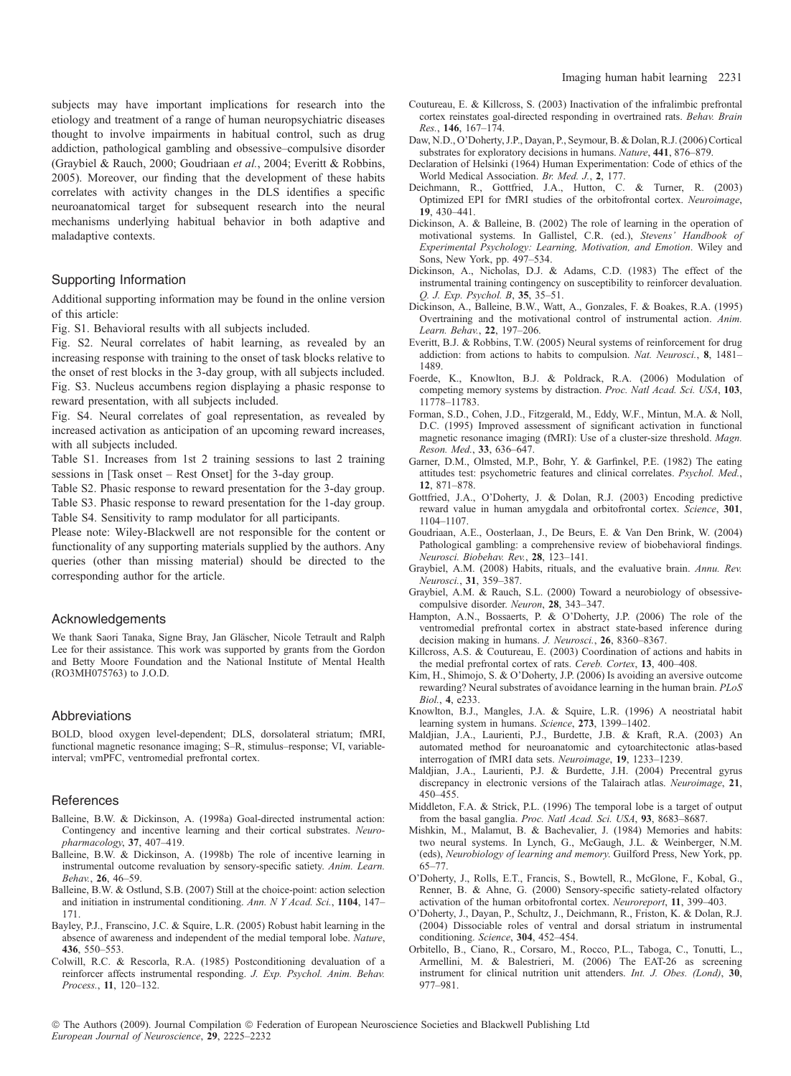subjects may have important implications for research into the etiology and treatment of a range of human neuropsychiatric diseases thought to involve impairments in habitual control, such as drug addiction, pathological gambling and obsessive–compulsive disorder (Graybiel & Rauch, 2000; Goudriaan et al., 2004; Everitt & Robbins, 2005). Moreover, our finding that the development of these habits correlates with activity changes in the DLS identifies a specific neuroanatomical target for subsequent research into the neural mechanisms underlying habitual behavior in both adaptive and maladaptive contexts.

#### Supporting Information

Additional supporting information may be found in the online version of this article:

Fig. S1. Behavioral results with all subjects included.

Fig. S2. Neural correlates of habit learning, as revealed by an increasing response with training to the onset of task blocks relative to the onset of rest blocks in the 3-day group, with all subjects included. Fig. S3. Nucleus accumbens region displaying a phasic response to reward presentation, with all subjects included.

Fig. S4. Neural correlates of goal representation, as revealed by increased activation as anticipation of an upcoming reward increases, with all subjects included.

Table S1. Increases from 1st 2 training sessions to last 2 training sessions in [Task onset – Rest Onset] for the 3-day group.

Table S2. Phasic response to reward presentation for the 3-day group. Table S3. Phasic response to reward presentation for the 1-day group. Table S4. Sensitivity to ramp modulator for all participants.

Please note: Wiley-Blackwell are not responsible for the content or functionality of any supporting materials supplied by the authors. Any queries (other than missing material) should be directed to the corresponding author for the article.

## Acknowledgements

We thank Saori Tanaka, Signe Bray, Jan Gläscher, Nicole Tetrault and Ralph Lee for their assistance. This work was supported by grants from the Gordon and Betty Moore Foundation and the National Institute of Mental Health (RO3MH075763) to J.O.D.

#### Abbreviations

BOLD, blood oxygen level-dependent; DLS, dorsolateral striatum; fMRI, functional magnetic resonance imaging; S–R, stimulus–response; VI, variableinterval; vmPFC, ventromedial prefrontal cortex.

#### **References**

- Balleine, B.W. & Dickinson, A. (1998a) Goal-directed instrumental action: Contingency and incentive learning and their cortical substrates. Neuropharmacology, 37, 407–419.
- Balleine, B.W. & Dickinson, A. (1998b) The role of incentive learning in instrumental outcome revaluation by sensory-specific satiety. Anim. Learn. Behav., 26, 46–59.
- Balleine, B.W. & Ostlund, S.B. (2007) Still at the choice-point: action selection and initiation in instrumental conditioning. Ann. N Y Acad. Sci., 1104, 147-171.
- Bayley, P.J., Franscino, J.C. & Squire, L.R. (2005) Robust habit learning in the absence of awareness and independent of the medial temporal lobe. Nature, 436, 550–553.
- Colwill, R.C. & Rescorla, R.A. (1985) Postconditioning devaluation of a reinforcer affects instrumental responding. J. Exp. Psychol. Anim. Behav. Process., 11, 120–132.
- Coutureau, E. & Killcross, S. (2003) Inactivation of the infralimbic prefrontal cortex reinstates goal-directed responding in overtrained rats. Behav. Brain Res., 146, 167–174.
- Daw, N.D., O'Doherty, J.P., Dayan, P., Seymour, B. & Dolan, R.J. (2006) Cortical substrates for exploratory decisions in humans. Nature, 441, 876–879.
- Declaration of Helsinki (1964) Human Experimentation: Code of ethics of the World Medical Association. Br. Med. J., 2, 177.
- Deichmann, R., Gottfried, J.A., Hutton, C. & Turner, R. (2003) Optimized EPI for fMRI studies of the orbitofrontal cortex. Neuroimage, 19, 430–441.
- Dickinson, A. & Balleine, B. (2002) The role of learning in the operation of motivational systems. In Gallistel, C.R. (ed.), Stevens' Handbook of Experimental Psychology: Learning, Motivation, and Emotion. Wiley and Sons, New York, pp. 497–534.
- Dickinson, A., Nicholas, D.J. & Adams, C.D. (1983) The effect of the instrumental training contingency on susceptibility to reinforcer devaluation. Q. J. Exp. Psychol. B, 35, 35–51.
- Dickinson, A., Balleine, B.W., Watt, A., Gonzales, F. & Boakes, R.A. (1995) Overtraining and the motivational control of instrumental action. Anim. Learn. Behav., 22, 197–206.
- Everitt, B.J. & Robbins, T.W. (2005) Neural systems of reinforcement for drug addiction: from actions to habits to compulsion. Nat. Neurosci., 8, 1481– 1489.
- Foerde, K., Knowlton, B.J. & Poldrack, R.A. (2006) Modulation of competing memory systems by distraction. Proc. Natl Acad. Sci. USA, 103, 11778–11783.
- Forman, S.D., Cohen, J.D., Fitzgerald, M., Eddy, W.F., Mintun, M.A. & Noll, D.C. (1995) Improved assessment of significant activation in functional magnetic resonance imaging (fMRI): Use of a cluster-size threshold. Magn. Reson. Med., 33, 636–647.
- Garner, D.M., Olmsted, M.P., Bohr, Y. & Garfinkel, P.E. (1982) The eating attitudes test: psychometric features and clinical correlates. Psychol. Med., 12, 871–878.
- Gottfried, J.A., O'Doherty, J. & Dolan, R.J. (2003) Encoding predictive reward value in human amygdala and orbitofrontal cortex. Science, 301, 1104–1107.
- Goudriaan, A.E., Oosterlaan, J., De Beurs, E. & Van Den Brink, W. (2004) Pathological gambling: a comprehensive review of biobehavioral findings. Neurosci. Biobehav. Rev., 28, 123–141.
- Graybiel, A.M. (2008) Habits, rituals, and the evaluative brain. Annu. Rev. Neurosci., 31, 359–387.
- Graybiel, A.M. & Rauch, S.L. (2000) Toward a neurobiology of obsessivecompulsive disorder. Neuron, 28, 343–347.
- Hampton, A.N., Bossaerts, P. & O'Doherty, J.P. (2006) The role of the ventromedial prefrontal cortex in abstract state-based inference during decision making in humans. J. Neurosci., 26, 8360-8367.
- Killcross, A.S. & Coutureau, E. (2003) Coordination of actions and habits in the medial prefrontal cortex of rats. Cereb. Cortex, 13, 400–408.
- Kim, H., Shimojo, S. & O'Doherty, J.P. (2006) Is avoiding an aversive outcome rewarding? Neural substrates of avoidance learning in the human brain. PLoS Biol., 4, e233.
- Knowlton, B.J., Mangles, J.A. & Squire, L.R. (1996) A neostriatal habit learning system in humans. Science, 273, 1399–1402.
- Maldjian, J.A., Laurienti, P.J., Burdette, J.B. & Kraft, R.A. (2003) An automated method for neuroanatomic and cytoarchitectonic atlas-based interrogation of fMRI data sets. Neuroimage, 19, 1233–1239.
- Maldjian, J.A., Laurienti, P.J. & Burdette, J.H. (2004) Precentral gyrus discrepancy in electronic versions of the Talairach atlas. Neuroimage, 21, 450–455.
- Middleton, F.A. & Strick, P.L. (1996) The temporal lobe is a target of output from the basal ganglia. Proc. Natl Acad. Sci. USA, 93, 8683–8687.
- Mishkin, M., Malamut, B. & Bachevalier, J. (1984) Memories and habits: two neural systems. In Lynch, G., McGaugh, J.L. & Weinberger, N.M. (eds), Neurobiology of learning and memory. Guilford Press, New York, pp. 65–77.
- O'Doherty, J., Rolls, E.T., Francis, S., Bowtell, R., McGlone, F., Kobal, G., Renner, B. & Ahne, G. (2000) Sensory-specific satiety-related olfactory activation of the human orbitofrontal cortex. Neuroreport, 11, 399–403.
- O'Doherty, J., Dayan, P., Schultz, J., Deichmann, R., Friston, K. & Dolan, R.J. (2004) Dissociable roles of ventral and dorsal striatum in instrumental conditioning. Science, 304, 452–454.
- Orbitello, B., Ciano, R., Corsaro, M., Rocco, P.L., Taboga, C., Tonutti, L., Armellini, M. & Balestrieri, M. (2006) The EAT-26 as screening instrument for clinical nutrition unit attenders. Int. J. Obes. (Lond),  $30$ 977–981.